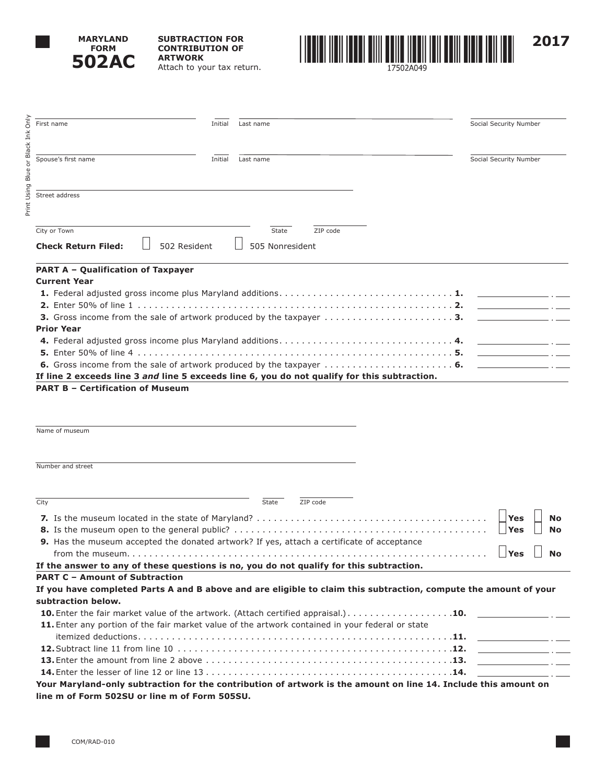

**SUBTRACTION FOR CONTRIBUTION OF ARTWORK** Attach to your tax return.



**PART A – Qualification of Taxpayer Current Year 1.** Federal adjusted gross income plus Maryland additions . . . . . . . . . . . . . . . . . . . . . . . . . . . . . . **1. 2.** Enter 50% of line 1 . . . . . . . . . . . . . . . . . . . . . . . . . . . . . . . . . . . . . . . . . . . . . . . . . . . . . . . **2. 3.** Gross income from the sale of artwork produced by the taxpayer . . . . . . . . . . . . . . . . . . . . . . **3. Prior Year 4.** Federal adjusted gross income plus Maryland additions . . . . . . . . . . . . . . . . . . . . . . . . . . . . . . **4. 5.** Enter 50% of line 4 . . . . . . . . . . . . . . . . . . . . . . . . . . . . . . . . . . . . . . . . . . . . . . . . . . . . . . . **5. 6.** Gross income from the sale of artwork produced by the taxpayer . . . . . . . . . . . . . . . . . . . . . . **6. If line 2 exceeds line 3** *and* **line 5 exceeds line 6, you do not qualify for this subtraction. PART B – Certification of Museum** Name of museum **Check Return Filed:**  $\Box$  502 Resident  $\Box$  505 Nonresident First name Social Security Number Spouse's first name Thitler and Thitler and Thitler and Thitler and Thitler and Thitler and Thitler and Thitler and Thitler and Thitler and Thitler and Thitler and Thitler and Thitler and Thitler and Thitler and Thitler an Street address The City or Town Town State City or Town State City or Town State City or Town State City or Town State City or Town State City or Town State City or Town State City or Town State City or Town State City or Town State City

Number and street

| City                                                                                                             | State | ZIP code |                         |
|------------------------------------------------------------------------------------------------------------------|-------|----------|-------------------------|
|                                                                                                                  |       |          | <b>No</b><br><b>Yes</b> |
| 9. Has the museum accepted the donated artwork? If yes, attach a certificate of acceptance                       |       |          |                         |
| If the answer to any of these questions is no, you do not qualify for this subtraction.                          |       |          |                         |
| <b>PART C - Amount of Subtraction</b>                                                                            |       |          |                         |
| If you have completed Parts A and B above and are eligible to claim this subtraction, compute the amount of your |       |          |                         |
| subtraction below.                                                                                               |       |          |                         |
| <b>10.</b> Enter the fair market value of the artwork. (Attach certified appraisal.). <b>10.</b>                 |       |          |                         |
| 11. Enter any portion of the fair market value of the artwork contained in your federal or state                 |       |          |                         |
|                                                                                                                  |       |          |                         |
|                                                                                                                  |       |          |                         |
|                                                                                                                  |       |          |                         |
|                                                                                                                  |       |          |                         |
| Your Maryland-only subtraction for the contribution of artwork is the amount on line 14. Include this amount on  |       |          |                         |
| line m of Form 502SU or line m of Form 505SU.                                                                    |       |          |                         |